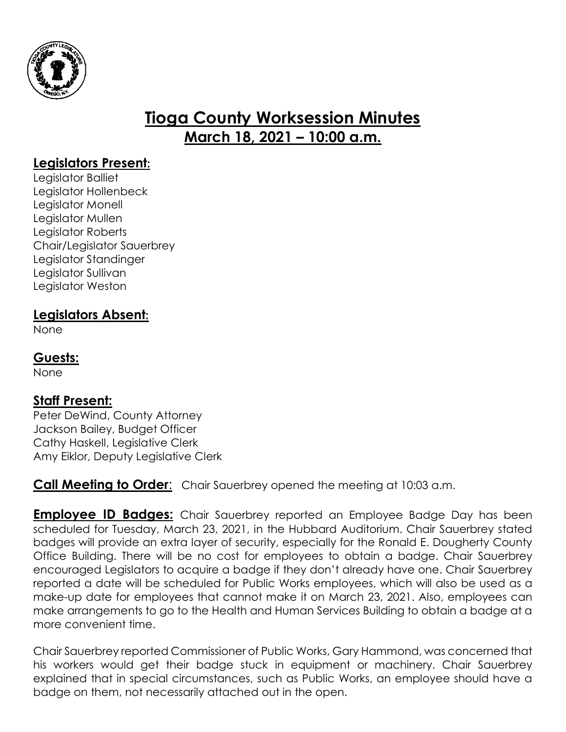

# **Tioga County Worksession Minutes March 18, 2021 – 10:00 a.m.**

#### **Legislators Present:**

Legislator Balliet Legislator Hollenbeck Legislator Monell Legislator Mullen Legislator Roberts Chair/Legislator Sauerbrey Legislator Standinger Legislator Sullivan Legislator Weston

#### **Legislators Absent:**

None

## **Guests:**

None

## **Staff Present:**

Peter DeWind, County Attorney Jackson Bailey, Budget Officer Cathy Haskell, Legislative Clerk Amy Eiklor, Deputy Legislative Clerk

#### **Call Meeting to Order**: Chair Sauerbrey opened the meeting at 10:03 a.m.

**Employee ID Badges:** Chair Sauerbrey reported an Employee Badge Day has been scheduled for Tuesday, March 23, 2021, in the Hubbard Auditorium. Chair Sauerbrey stated badges will provide an extra layer of security, especially for the Ronald E. Dougherty County Office Building. There will be no cost for employees to obtain a badge. Chair Sauerbrey encouraged Legislators to acquire a badge if they don't already have one. Chair Sauerbrey reported a date will be scheduled for Public Works employees, which will also be used as a make-up date for employees that cannot make it on March 23, 2021. Also, employees can make arrangements to go to the Health and Human Services Building to obtain a badge at a more convenient time.

Chair Sauerbrey reported Commissioner of Public Works, Gary Hammond, was concerned that his workers would get their badge stuck in equipment or machinery. Chair Sauerbrey explained that in special circumstances, such as Public Works, an employee should have a badge on them, not necessarily attached out in the open.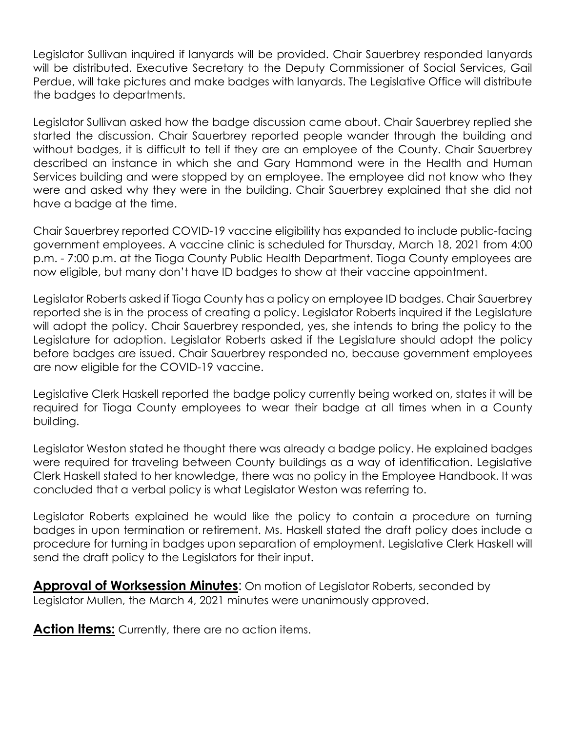Legislator Sullivan inquired if lanyards will be provided. Chair Sauerbrey responded lanyards will be distributed. Executive Secretary to the Deputy Commissioner of Social Services, Gail Perdue, will take pictures and make badges with lanyards. The Legislative Office will distribute the badges to departments.

Legislator Sullivan asked how the badge discussion came about. Chair Sauerbrey replied she started the discussion. Chair Sauerbrey reported people wander through the building and without badges, it is difficult to tell if they are an employee of the County. Chair Sauerbrey described an instance in which she and Gary Hammond were in the Health and Human Services building and were stopped by an employee. The employee did not know who they were and asked why they were in the building. Chair Sauerbrey explained that she did not have a badge at the time.

Chair Sauerbrey reported COVID-19 vaccine eligibility has expanded to include public-facing government employees. A vaccine clinic is scheduled for Thursday, March 18, 2021 from 4:00 p.m. - 7:00 p.m. at the Tioga County Public Health Department. Tioga County employees are now eligible, but many don't have ID badges to show at their vaccine appointment.

Legislator Roberts asked if Tioga County has a policy on employee ID badges. Chair Sauerbrey reported she is in the process of creating a policy. Legislator Roberts inquired if the Legislature will adopt the policy. Chair Sauerbrey responded, yes, she intends to bring the policy to the Legislature for adoption. Legislator Roberts asked if the Legislature should adopt the policy before badges are issued. Chair Sauerbrey responded no, because government employees are now eligible for the COVID-19 vaccine.

Legislative Clerk Haskell reported the badge policy currently being worked on, states it will be required for Tioga County employees to wear their badge at all times when in a County building.

Legislator Weston stated he thought there was already a badge policy. He explained badges were required for traveling between County buildings as a way of identification. Legislative Clerk Haskell stated to her knowledge, there was no policy in the Employee Handbook. It was concluded that a verbal policy is what Legislator Weston was referring to.

Legislator Roberts explained he would like the policy to contain a procedure on turning badges in upon termination or retirement. Ms. Haskell stated the draft policy does include a procedure for turning in badges upon separation of employment. Legislative Clerk Haskell will send the draft policy to the Legislators for their input.

**Approval of Worksession Minutes**: On motion of Legislator Roberts, seconded by Legislator Mullen, the March 4, 2021 minutes were unanimously approved.

**Action Items:** Currently, there are no action items.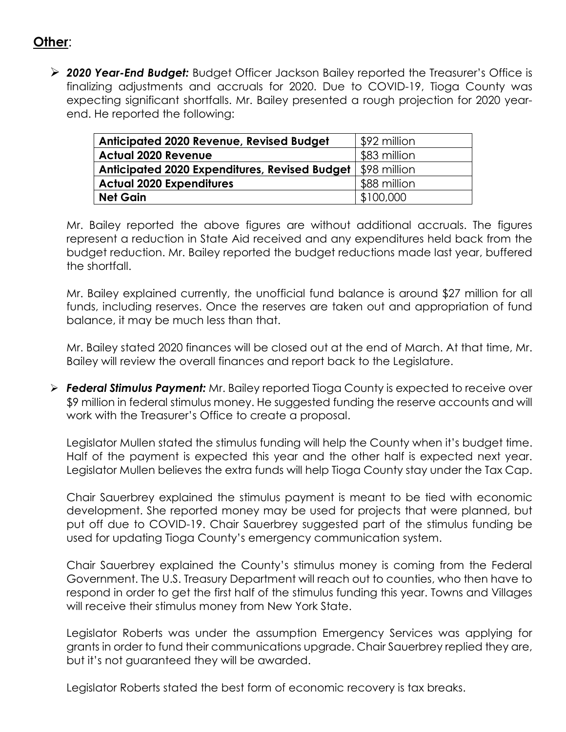## **Other**:

 *2020 Year-End Budget:* Budget Officer Jackson Bailey reported the Treasurer's Office is finalizing adjustments and accruals for 2020. Due to COVID-19, Tioga County was expecting significant shortfalls. Mr. Bailey presented a rough projection for 2020 yearend. He reported the following:

| <b>Anticipated 2020 Revenue, Revised Budget</b>      | \$92 million |
|------------------------------------------------------|--------------|
| <b>Actual 2020 Revenue</b>                           | \$83 million |
| <b>Anticipated 2020 Expenditures, Revised Budget</b> | \$98 million |
| <b>Actual 2020 Expenditures</b>                      | \$88 million |
| <b>Net Gain</b>                                      | \$100,000    |

Mr. Bailey reported the above figures are without additional accruals. The figures represent a reduction in State Aid received and any expenditures held back from the budget reduction. Mr. Bailey reported the budget reductions made last year, buffered the shortfall.

Mr. Bailey explained currently, the unofficial fund balance is around \$27 million for all funds, including reserves. Once the reserves are taken out and appropriation of fund balance, it may be much less than that.

Mr. Bailey stated 2020 finances will be closed out at the end of March. At that time, Mr. Bailey will review the overall finances and report back to the Legislature.

 *Federal Stimulus Payment:* Mr. Bailey reported Tioga County is expected to receive over \$9 million in federal stimulus money. He suggested funding the reserve accounts and will work with the Treasurer's Office to create a proposal.

Legislator Mullen stated the stimulus funding will help the County when it's budget time. Half of the payment is expected this year and the other half is expected next year. Legislator Mullen believes the extra funds will help Tioga County stay under the Tax Cap.

Chair Sauerbrey explained the stimulus payment is meant to be tied with economic development. She reported money may be used for projects that were planned, but put off due to COVID-19. Chair Sauerbrey suggested part of the stimulus funding be used for updating Tioga County's emergency communication system.

Chair Sauerbrey explained the County's stimulus money is coming from the Federal Government. The U.S. Treasury Department will reach out to counties, who then have to respond in order to get the first half of the stimulus funding this year. Towns and Villages will receive their stimulus money from New York State.

Legislator Roberts was under the assumption Emergency Services was applying for grants in order to fund their communications upgrade. Chair Sauerbrey replied they are, but it's not guaranteed they will be awarded.

Legislator Roberts stated the best form of economic recovery is tax breaks.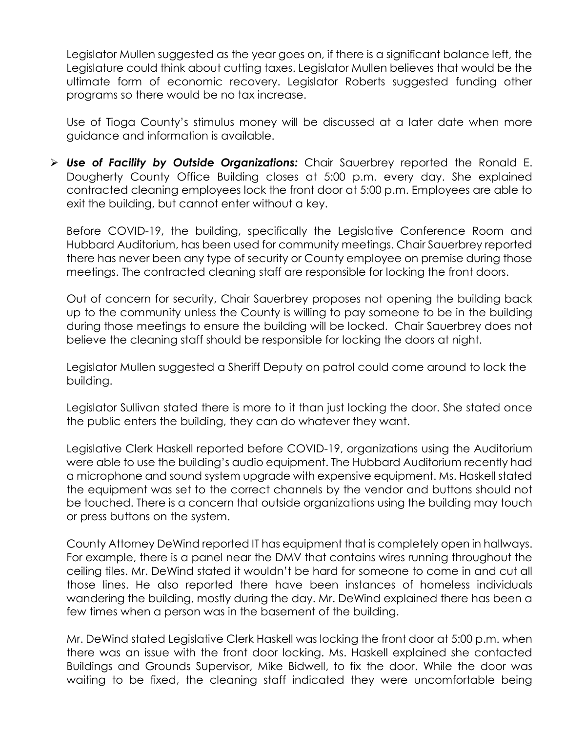Legislator Mullen suggested as the year goes on, if there is a significant balance left, the Legislature could think about cutting taxes. Legislator Mullen believes that would be the ultimate form of economic recovery. Legislator Roberts suggested funding other programs so there would be no tax increase.

Use of Tioga County's stimulus money will be discussed at a later date when more guidance and information is available.

 *Use of Facility by Outside Organizations:* Chair Sauerbrey reported the Ronald E. Dougherty County Office Building closes at 5:00 p.m. every day. She explained contracted cleaning employees lock the front door at 5:00 p.m. Employees are able to exit the building, but cannot enter without a key.

Before COVID-19, the building, specifically the Legislative Conference Room and Hubbard Auditorium, has been used for community meetings. Chair Sauerbrey reported there has never been any type of security or County employee on premise during those meetings. The contracted cleaning staff are responsible for locking the front doors.

Out of concern for security, Chair Sauerbrey proposes not opening the building back up to the community unless the County is willing to pay someone to be in the building during those meetings to ensure the building will be locked. Chair Sauerbrey does not believe the cleaning staff should be responsible for locking the doors at night.

Legislator Mullen suggested a Sheriff Deputy on patrol could come around to lock the building.

Legislator Sullivan stated there is more to it than just locking the door. She stated once the public enters the building, they can do whatever they want.

Legislative Clerk Haskell reported before COVID-19, organizations using the Auditorium were able to use the building's audio equipment. The Hubbard Auditorium recently had a microphone and sound system upgrade with expensive equipment. Ms. Haskell stated the equipment was set to the correct channels by the vendor and buttons should not be touched. There is a concern that outside organizations using the building may touch or press buttons on the system.

County Attorney DeWind reported IT has equipment that is completely open in hallways. For example, there is a panel near the DMV that contains wires running throughout the ceiling tiles. Mr. DeWind stated it wouldn't be hard for someone to come in and cut all those lines. He also reported there have been instances of homeless individuals wandering the building, mostly during the day. Mr. DeWind explained there has been a few times when a person was in the basement of the building.

Mr. DeWind stated Legislative Clerk Haskell was locking the front door at 5:00 p.m. when there was an issue with the front door locking. Ms. Haskell explained she contacted Buildings and Grounds Supervisor, Mike Bidwell, to fix the door. While the door was waiting to be fixed, the cleaning staff indicated they were uncomfortable being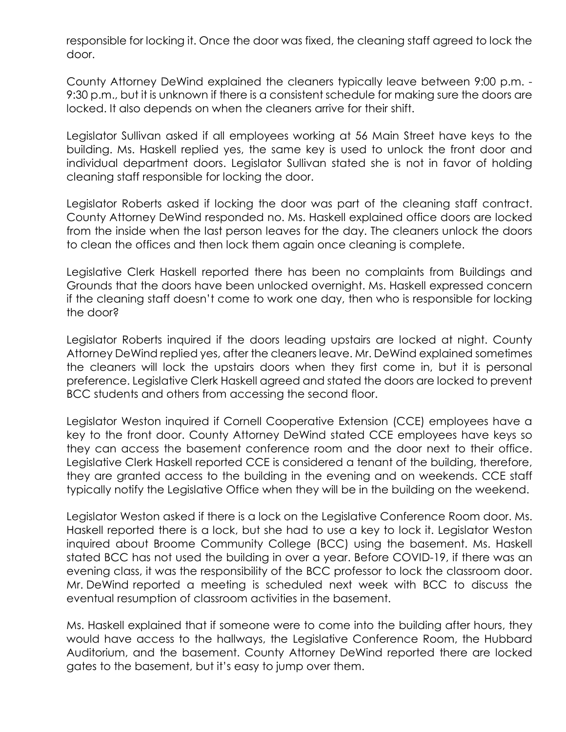responsible for locking it. Once the door was fixed, the cleaning staff agreed to lock the door.

County Attorney DeWind explained the cleaners typically leave between 9:00 p.m. - 9:30 p.m., but it is unknown if there is a consistent schedule for making sure the doors are locked. It also depends on when the cleaners arrive for their shift.

Legislator Sullivan asked if all employees working at 56 Main Street have keys to the building. Ms. Haskell replied yes, the same key is used to unlock the front door and individual department doors. Legislator Sullivan stated she is not in favor of holding cleaning staff responsible for locking the door.

Legislator Roberts asked if locking the door was part of the cleaning staff contract. County Attorney DeWind responded no. Ms. Haskell explained office doors are locked from the inside when the last person leaves for the day. The cleaners unlock the doors to clean the offices and then lock them again once cleaning is complete.

Legislative Clerk Haskell reported there has been no complaints from Buildings and Grounds that the doors have been unlocked overnight. Ms. Haskell expressed concern if the cleaning staff doesn't come to work one day, then who is responsible for locking the door?

Legislator Roberts inquired if the doors leading upstairs are locked at night. County Attorney DeWind replied yes, after the cleaners leave. Mr. DeWind explained sometimes the cleaners will lock the upstairs doors when they first come in, but it is personal preference. Legislative Clerk Haskell agreed and stated the doors are locked to prevent BCC students and others from accessing the second floor.

Legislator Weston inquired if Cornell Cooperative Extension (CCE) employees have a key to the front door. County Attorney DeWind stated CCE employees have keys so they can access the basement conference room and the door next to their office. Legislative Clerk Haskell reported CCE is considered a tenant of the building, therefore, they are granted access to the building in the evening and on weekends. CCE staff typically notify the Legislative Office when they will be in the building on the weekend.

Legislator Weston asked if there is a lock on the Legislative Conference Room door. Ms. Haskell reported there is a lock, but she had to use a key to lock it. Legislator Weston inquired about Broome Community College (BCC) using the basement. Ms. Haskell stated BCC has not used the building in over a year. Before COVID-19, if there was an evening class, it was the responsibility of the BCC professor to lock the classroom door. Mr. DeWind reported a meeting is scheduled next week with BCC to discuss the eventual resumption of classroom activities in the basement.

Ms. Haskell explained that if someone were to come into the building after hours, they would have access to the hallways, the Legislative Conference Room, the Hubbard Auditorium, and the basement. County Attorney DeWind reported there are locked gates to the basement, but it's easy to jump over them.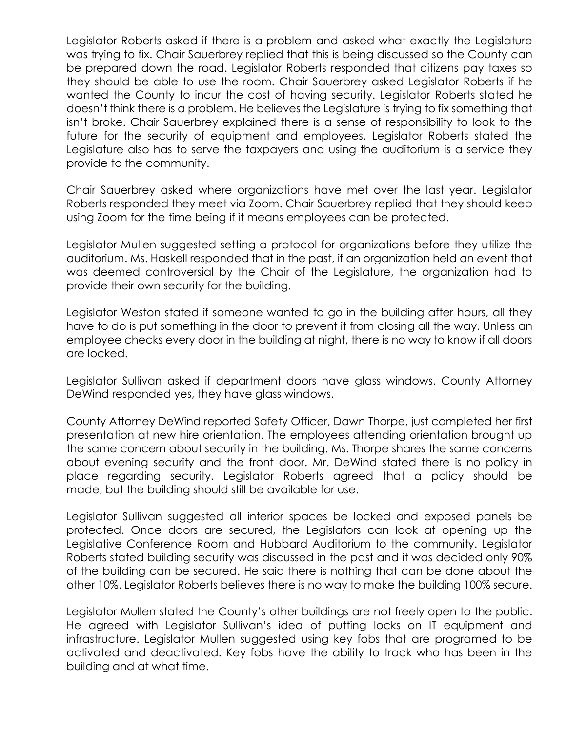Legislator Roberts asked if there is a problem and asked what exactly the Legislature was trying to fix. Chair Sauerbrey replied that this is being discussed so the County can be prepared down the road. Legislator Roberts responded that citizens pay taxes so they should be able to use the room. Chair Sauerbrey asked Legislator Roberts if he wanted the County to incur the cost of having security. Legislator Roberts stated he doesn't think there is a problem. He believes the Legislature is trying to fix something that isn't broke. Chair Sauerbrey explained there is a sense of responsibility to look to the future for the security of equipment and employees. Legislator Roberts stated the Legislature also has to serve the taxpayers and using the auditorium is a service they provide to the community.

Chair Sauerbrey asked where organizations have met over the last year. Legislator Roberts responded they meet via Zoom. Chair Sauerbrey replied that they should keep using Zoom for the time being if it means employees can be protected.

Legislator Mullen suggested setting a protocol for organizations before they utilize the auditorium. Ms. Haskell responded that in the past, if an organization held an event that was deemed controversial by the Chair of the Legislature, the organization had to provide their own security for the building.

Legislator Weston stated if someone wanted to go in the building after hours, all they have to do is put something in the door to prevent it from closing all the way. Unless an employee checks every door in the building at night, there is no way to know if all doors are locked.

Legislator Sullivan asked if department doors have glass windows. County Attorney DeWind responded yes, they have glass windows.

County Attorney DeWind reported Safety Officer, Dawn Thorpe, just completed her first presentation at new hire orientation. The employees attending orientation brought up the same concern about security in the building. Ms. Thorpe shares the same concerns about evening security and the front door. Mr. DeWind stated there is no policy in place regarding security. Legislator Roberts agreed that a policy should be made, but the building should still be available for use.

Legislator Sullivan suggested all interior spaces be locked and exposed panels be protected. Once doors are secured, the Legislators can look at opening up the Legislative Conference Room and Hubbard Auditorium to the community. Legislator Roberts stated building security was discussed in the past and it was decided only 90% of the building can be secured. He said there is nothing that can be done about the other 10%. Legislator Roberts believes there is no way to make the building 100% secure.

Legislator Mullen stated the County's other buildings are not freely open to the public. He agreed with Legislator Sullivan's idea of putting locks on IT equipment and infrastructure. Legislator Mullen suggested using key fobs that are programed to be activated and deactivated. Key fobs have the ability to track who has been in the building and at what time.